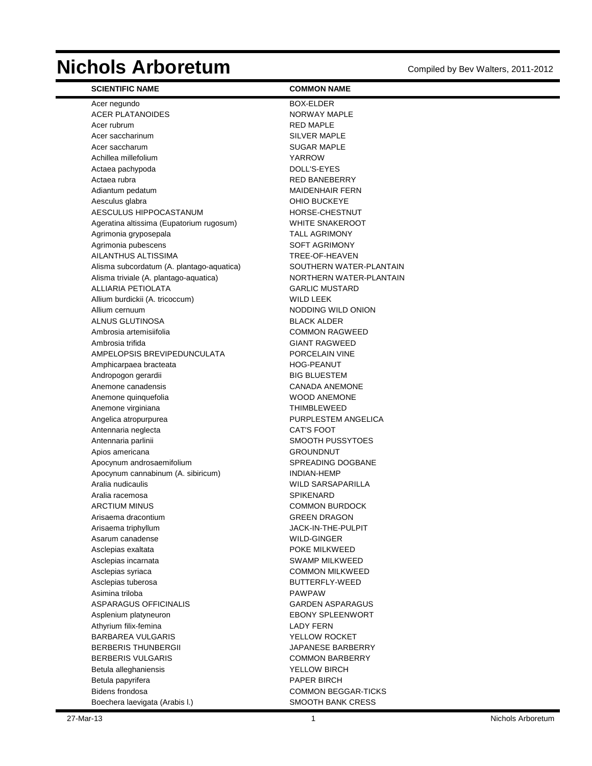# **Nichols Arboretum** Compiled by Bev Walters, 2011-2012

| <b>SCIENTIFIC NAME</b>                                          | <b>COMMON NAME</b>                    |
|-----------------------------------------------------------------|---------------------------------------|
| Acer negundo                                                    | BOX-ELDER                             |
| <b>ACER PLATANOIDES</b>                                         | NORWAY MAPLE                          |
| Acer rubrum                                                     | <b>RED MAPLE</b>                      |
| Acer saccharinum                                                | <b>SILVER MAPLE</b>                   |
| Acer saccharum                                                  | <b>SUGAR MAPLE</b>                    |
| Achillea millefolium                                            | <b>YARROW</b>                         |
| Actaea pachypoda                                                | DOLL'S-EYES                           |
| Actaea rubra                                                    | <b>RED BANEBERRY</b>                  |
| Adiantum pedatum                                                | <b>MAIDENHAIR FERN</b>                |
| Aesculus glabra                                                 | OHIO BUCKEYE                          |
| AESCULUS HIPPOCASTANUM                                          | HORSE-CHESTNUT                        |
| Ageratina altissima (Eupatorium rugosum)                        | <b>WHITE SNAKEROOT</b>                |
| Agrimonia gryposepala                                           | <b>TALL AGRIMONY</b>                  |
| Agrimonia pubescens                                             | <b>SOFT AGRIMONY</b>                  |
| AILANTHUS ALTISSIMA                                             | TREE-OF-HEAVEN                        |
| Alisma subcordatum (A. plantago-aquatica)                       | SOUTHERN WATER-PLANTAIN               |
| Alisma triviale (A. plantago-aquatica)                          | NORTHERN WATER-PLANTAIN               |
| <b>ALLIARIA PETIOLATA</b>                                       | <b>GARLIC MUSTARD</b>                 |
| Allium burdickii (A. tricoccum)                                 | <b>WILD LEEK</b>                      |
| Allium cernuum                                                  | NODDING WILD ONION                    |
| ALNUS GLUTINOSA                                                 | <b>BLACK ALDER</b>                    |
| Ambrosia artemisiifolia                                         | <b>COMMON RAGWEED</b>                 |
| Ambrosia trifida                                                | <b>GIANT RAGWEED</b>                  |
| AMPELOPSIS BREVIPEDUNCULATA                                     | PORCELAIN VINE                        |
| Amphicarpaea bracteata                                          | <b>HOG-PEANUT</b>                     |
| Andropogon gerardii                                             | <b>BIG BLUESTEM</b>                   |
| Anemone canadensis                                              | <b>CANADA ANEMONE</b>                 |
| Anemone quinquefolia                                            | <b>WOOD ANEMONE</b>                   |
| Anemone virginiana                                              | <b>THIMBLEWEED</b>                    |
| Angelica atropurpurea                                           | PURPLESTEM ANGELICA                   |
| Antennaria neglecta                                             | <b>CAT'S FOOT</b>                     |
| Antennaria parlinii                                             | SMOOTH PUSSYTOES                      |
| Apios americana                                                 | <b>GROUNDNUT</b><br>SPREADING DOGBANE |
| Apocynum androsaemifolium<br>Apocynum cannabinum (A. sibiricum) | <b>INDIAN-HEMP</b>                    |
| Aralia nudicaulis                                               | WILD SARSAPARILLA                     |
| Aralia racemosa                                                 | <b>SPIKENARD</b>                      |
| <b>ARCTIUM MINUS</b>                                            | <b>COMMON BURDOCK</b>                 |
| Arisaema dracontium                                             | <b>GREEN DRAGON</b>                   |
| Arisaema triphyllum                                             | JACK-IN-THE-PULPIT                    |
| Asarum canadense                                                | WILD-GINGER                           |
| Asclepias exaltata                                              | POKE MILKWEED                         |
| Asclepias incarnata                                             | <b>SWAMP MILKWEED</b>                 |
| Asclepias syriaca                                               | <b>COMMON MILKWEED</b>                |
| Asclepias tuberosa                                              | BUTTERFLY-WEED                        |
| Asimina triloba                                                 | <b>PAWPAW</b>                         |
| ASPARAGUS OFFICINALIS                                           | <b>GARDEN ASPARAGUS</b>               |
| Asplenium platyneuron                                           | <b>EBONY SPLEENWORT</b>               |
| Athyrium filix-femina                                           | <b>LADY FERN</b>                      |
| <b>BARBAREA VULGARIS</b>                                        | YELLOW ROCKET                         |
| <b>BERBERIS THUNBERGII</b>                                      | JAPANESE BARBERRY                     |
| <b>BERBERIS VULGARIS</b>                                        | <b>COMMON BARBERRY</b>                |
| Betula alleghaniensis                                           | YELLOW BIRCH                          |
| Betula papyrifera                                               | PAPER BIRCH                           |
| Bidens frondosa                                                 | <b>COMMON BEGGAR-TICKS</b>            |
| Boechera laevigata (Arabis I.)                                  | <b>SMOOTH BANK CRESS</b>              |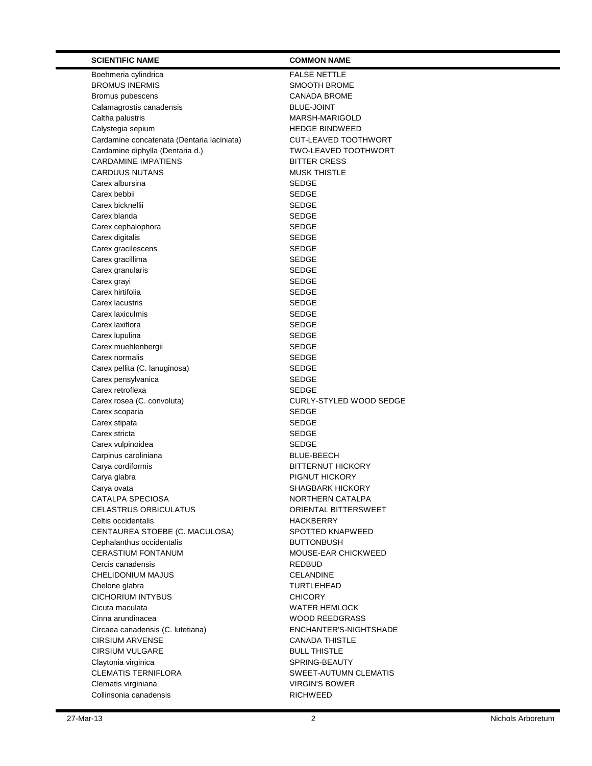| <b>SCIENTIFIC NAME</b>                     | <b>COMMON NAME</b>                      |
|--------------------------------------------|-----------------------------------------|
| Boehmeria cylindrica                       | <b>FALSE NETTLE</b>                     |
| <b>BROMUS INERMIS</b>                      | SMOOTH BROME                            |
| Bromus pubescens                           | <b>CANADA BROME</b>                     |
| Calamagrostis canadensis                   | <b>BLUE-JOINT</b>                       |
| Caltha palustris                           | MARSH-MARIGOLD                          |
| Calystegia sepium                          | <b>HEDGE BINDWEED</b>                   |
| Cardamine concatenata (Dentaria laciniata) | <b>CUT-LEAVED TOOTHWORT</b>             |
| Cardamine diphylla (Dentaria d.)           | <b>TWO-LEAVED TOOTHWORT</b>             |
| <b>CARDAMINE IMPATIENS</b>                 | <b>BITTER CRESS</b>                     |
| <b>CARDUUS NUTANS</b>                      | <b>MUSK THISTLE</b>                     |
| Carex albursina                            | <b>SEDGE</b>                            |
| Carex bebbii                               | <b>SEDGE</b>                            |
| Carex bicknellii                           | <b>SEDGE</b>                            |
| Carex blanda                               | <b>SEDGE</b>                            |
| Carex cephalophora                         | <b>SEDGE</b>                            |
| Carex digitalis                            | <b>SEDGE</b>                            |
| Carex gracilescens                         | <b>SEDGE</b>                            |
| Carex gracillima                           | <b>SEDGE</b>                            |
| Carex granularis                           | <b>SEDGE</b>                            |
| Carex grayi                                | <b>SEDGE</b>                            |
| Carex hirtifolia                           | <b>SEDGE</b>                            |
| Carex lacustris                            | <b>SEDGE</b>                            |
| Carex laxiculmis                           | <b>SEDGE</b>                            |
| Carex laxiflora                            | <b>SEDGE</b>                            |
| Carex lupulina                             | <b>SEDGE</b>                            |
| Carex muehlenbergii                        | <b>SEDGE</b>                            |
| Carex normalis                             | <b>SEDGE</b>                            |
| Carex pellita (C. lanuginosa)              | <b>SEDGE</b>                            |
| Carex pensylvanica                         | <b>SEDGE</b>                            |
| Carex retroflexa                           | <b>SEDGE</b>                            |
| Carex rosea (C. convoluta)                 | CURLY-STYLED WOOD SEDGE<br><b>SEDGE</b> |
| Carex scoparia<br>Carex stipata            | <b>SEDGE</b>                            |
| Carex stricta                              | <b>SEDGE</b>                            |
| Carex vulpinoidea                          | <b>SEDGE</b>                            |
| Carpinus caroliniana                       | <b>BLUE-BEECH</b>                       |
| Carya cordiformis                          | <b>BITTERNUT HICKORY</b>                |
| Carya glabra                               | <b>PIGNUT HICKORY</b>                   |
| Carya ovata                                | SHAGBARK HICKORY                        |
| CATALPA SPECIOSA                           | NORTHERN CATALPA                        |
| <b>CELASTRUS ORBICULATUS</b>               | ORIENTAL BITTERSWEET                    |
| Celtis occidentalis                        | HACKBERRY                               |
| CENTAUREA STOEBE (C. MACULOSA)             | <b>SPOTTED KNAPWEED</b>                 |
| Cephalanthus occidentalis                  | <b>BUTTONBUSH</b>                       |
| <b>CERASTIUM FONTANUM</b>                  | MOUSE-EAR CHICKWEED                     |
| Cercis canadensis                          | <b>REDBUD</b>                           |
| CHELIDONIUM MAJUS                          | <b>CELANDINE</b>                        |
| Chelone glabra                             | <b>TURTLEHEAD</b>                       |
| <b>CICHORIUM INTYBUS</b>                   | <b>CHICORY</b>                          |
| Cicuta maculata                            | <b>WATER HEMLOCK</b>                    |
| Cinna arundinacea                          | <b>WOOD REEDGRASS</b>                   |
| Circaea canadensis (C. lutetiana)          | ENCHANTER'S-NIGHTSHADE                  |
| <b>CIRSIUM ARVENSE</b>                     | <b>CANADA THISTLE</b>                   |
| <b>CIRSIUM VULGARE</b>                     | <b>BULL THISTLE</b>                     |
| Claytonia virginica                        | SPRING-BEAUTY                           |
| <b>CLEMATIS TERNIFLORA</b>                 | SWEET-AUTUMN CLEMATIS                   |
| Clematis virginiana                        | <b>VIRGIN'S BOWER</b>                   |
| Collinsonia canadensis                     | <b>RICHWEED</b>                         |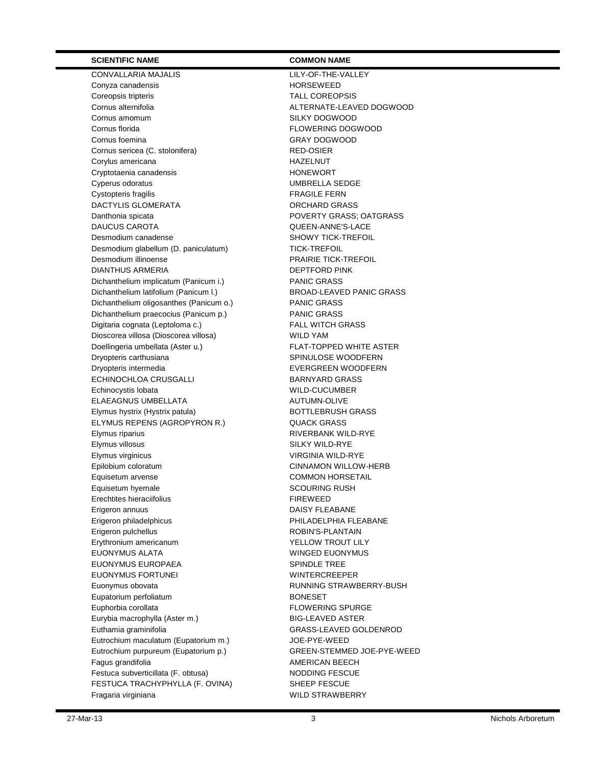CONVALLARIA MAJALIS LILY-OF-THE-VALLEY Conyza canadensis extending the HORSEWEED Coreopsis tripteris **TALL COREOPSIS** Cornus alternifolia and a material and a material and a MALTERNATE-LEAVED DOGWOOD Cornus amomum Cornus amomum SILKY DOGWOOD Cornus florida **FLOWERING DOGWOOD** Cornus foemina Cornus foemina Cornus sericea (C. stolonifera) RED-OSIER Corylus americana extensive that the HAZELNUT Cryptotaenia canadensis **HONEWORT** Cyperus odoratus UMBRELLA SEDGE Cystopteris fragilis **FRAGILE FERN** DACTYLIS GLOMERATA ORCHARD GRASS Danthonia spicata **POVERTY GRASS**; OATGRASS DAUCUS CAROTA QUEEN-ANNE'S-LACE Desmodium canadense No. 2006 SHOWY TICK-TREFOIL Desmodium glabellum (D. paniculatum) TICK-TREFOIL Desmodium illinoense PRAIRIE TICK-TREFOIL DIANTHUS ARMERIA DEPTFORD PINK Dichanthelium implicatum (Panicum i.) PANIC GRASS Dichanthelium latifolium (Panicum I.) BROAD-LEAVED PANIC GRASS Dichanthelium oligosanthes (Panicum o.) PANIC GRASS Dichanthelium praecocius (Panicum p.) PANIC GRASS Digitaria cognata (Leptoloma c.) FALL WITCH GRASS Dioscorea villosa (Dioscorea villosa) WILD YAM Doellingeria umbellata (Aster u.) FLAT-TOPPED WHITE ASTER Dryopteris carthusiana SPINULOSE WOODFERN Dryopteris intermedia EVERGREEN WOODFERN ECHINOCHLOA CRUSGALLI BARNYARD GRASS Echinocystis lobata WILD-CUCUMBER ELAEAGNUS UMBELLATA AUTUMN-OLIVE Elymus hystrix (Hystrix patula) BOTTLEBRUSH GRASS ELYMUS REPENS (AGROPYRON R.) QUACK GRASS Elymus riparius **Election Contract Contract Contract Contract Contract Contract Contract Contract Contract Contract Contract Contract Contract Contract Contract Contract Contract Contract Contract Contract Contract Contrac** Elymus villosus **SILKY WILD-RYE** Elymus virginicus VIRGINIA WILD-RYE Epilobium coloratum CINNAMON WILLOW-HERB Equisetum arvense **COMMON HORSETAIL** Equisetum hyemale SCOURING RUSH Erechtites hieraciifolius **FIREWEED** Erigeron annuus annuus annuus DAISY FLEABANE Erigeron philadelphicus extension of the PHILADELPHIA FLEABANE Erigeron pulchellus ROBIN'S-PLANTAIN Erythronium americanum **YELLOW TROUT LILY** EUONYMUS ALATA WINGED EUONYMUS EUONYMUS EUROPAEA SPINDLE TREE EUONYMUS FORTUNEI WINTERCREEPER Euonymus obovata RUNNING STRAWBERRY-BUSH Eupatorium perfoliatum **BONESET** Euphorbia corollata FLOWERING SPURGE Eurybia macrophylla (Aster m.) BIG-LEAVED ASTER Euthamia graminifolia GRASS-LEAVED GOLDENROD Eutrochium maculatum (Eupatorium m.) JOE-PYE-WEED Eutrochium purpureum (Eupatorium p.) GREEN-STEMMED JOE-PYE-WEED Fagus grandifolia and the contract of the AMERICAN BEECH Festuca subverticillata (F. obtusa) NODDING FESCUE FESTUCA TRACHYPHYLLA (F. OVINA) SHEEP FESCUE Fragaria virginiana MILD STRAWBERRY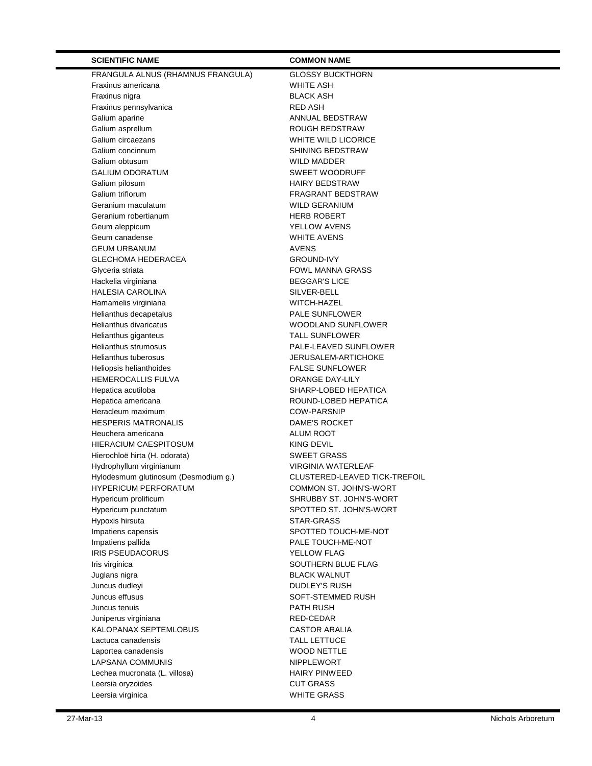| <b>SCIENTIFIC NAME</b>                               | <b>COMMON NAME</b>                               |
|------------------------------------------------------|--------------------------------------------------|
| FRANGULA ALNUS (RHAMNUS FRANGULA)                    | <b>GLOSSY BUCKTHORN</b>                          |
| Fraxinus americana                                   | WHITE ASH                                        |
| Fraxinus nigra                                       | <b>BLACK ASH</b>                                 |
| Fraxinus pennsylvanica                               | <b>RED ASH</b>                                   |
| Galium aparine                                       | ANNUAL BEDSTRAW                                  |
| Galium asprellum                                     | <b>ROUGH BEDSTRAW</b>                            |
| Galium circaezans                                    | WHITE WILD LICORICE                              |
| Galium concinnum                                     | <b>SHINING BEDSTRAW</b>                          |
| Galium obtusum                                       | <b>WILD MADDER</b>                               |
| <b>GALIUM ODORATUM</b>                               | <b>SWEET WOODRUFF</b>                            |
| Galium pilosum                                       | <b>HAIRY BEDSTRAW</b>                            |
| Galium triflorum                                     | FRAGRANT BEDSTRAW                                |
| Geranium maculatum                                   | <b>WILD GERANIUM</b>                             |
| Geranium robertianum                                 | <b>HERB ROBERT</b>                               |
| Geum aleppicum                                       | YELLOW AVENS                                     |
| Geum canadense                                       | <b>WHITE AVENS</b>                               |
| <b>GEUM URBANUM</b>                                  | <b>AVENS</b>                                     |
| <b>GLECHOMA HEDERACEA</b>                            | <b>GROUND-IVY</b>                                |
| Glyceria striata                                     | <b>FOWL MANNA GRASS</b>                          |
| Hackelia virginiana                                  | <b>BEGGAR'S LICE</b>                             |
| <b>HALESIA CAROLINA</b>                              | SILVER-BELL                                      |
| Hamamelis virginiana                                 | WITCH-HAZEL                                      |
| Helianthus decapetalus                               | PALE SUNFLOWER                                   |
| Helianthus divaricatus                               | WOODLAND SUNFLOWER                               |
| Helianthus giganteus                                 | <b>TALL SUNFLOWER</b>                            |
| Helianthus strumosus                                 | PALE-LEAVED SUNFLOWER                            |
| <b>Helianthus tuberosus</b>                          | JERUSALEM-ARTICHOKE                              |
| Heliopsis helianthoides<br><b>HEMEROCALLIS FULVA</b> | <b>FALSE SUNFLOWER</b><br><b>ORANGE DAY-LILY</b> |
| Hepatica acutiloba                                   | SHARP-LOBED HEPATICA                             |
| Hepatica americana                                   | ROUND-LOBED HEPATICA                             |
| Heracleum maximum                                    | <b>COW-PARSNIP</b>                               |
| <b>HESPERIS MATRONALIS</b>                           | DAME'S ROCKET                                    |
| Heuchera americana                                   | <b>ALUM ROOT</b>                                 |
| <b>HIERACIUM CAESPITOSUM</b>                         | KING DEVIL                                       |
| Hierochloë hirta (H. odorata)                        | <b>SWEET GRASS</b>                               |
| Hydrophyllum virginianum                             | <b>VIRGINIA WATERLEAF</b>                        |
| Hylodesmum glutinosum (Desmodium g.)                 | CLUSTERED-LEAVED TICK-TREFOIL                    |
| HYPERICUM PERFORATUM                                 | COMMON ST. JOHN'S-WORT                           |
| Hypericum prolificum                                 | SHRUBBY ST. JOHN'S-WORT                          |
| Hypericum punctatum                                  | SPOTTED ST. JOHN'S-WORT                          |
| Hypoxis hirsuta                                      | STAR-GRASS                                       |
| Impatiens capensis                                   | SPOTTED TOUCH-ME-NOT                             |
| Impatiens pallida                                    | PALE TOUCH-ME-NOT                                |
| <b>IRIS PSEUDACORUS</b>                              | YELLOW FLAG                                      |
| Iris virginica                                       | SOUTHERN BLUE FLAG                               |
| Juglans nigra                                        | <b>BLACK WALNUT</b>                              |
| Juncus dudleyi                                       | <b>DUDLEY'S RUSH</b>                             |
| Juncus effusus                                       | SOFT-STEMMED RUSH                                |
| Juncus tenuis                                        | PATH RUSH                                        |
| Juniperus virginiana                                 | RED-CEDAR                                        |
| KALOPANAX SEPTEMLOBUS                                | <b>CASTOR ARALIA</b>                             |
| Lactuca canadensis                                   | <b>TALL LETTUCE</b>                              |
| Laportea canadensis                                  | WOOD NETTLE                                      |
| LAPSANA COMMUNIS                                     | <b>NIPPLEWORT</b>                                |
| Lechea mucronata (L. villosa)                        | <b>HAIRY PINWEED</b>                             |
| Leersia oryzoides                                    | <b>CUT GRASS</b>                                 |
| Leersia virginica                                    | <b>WHITE GRASS</b>                               |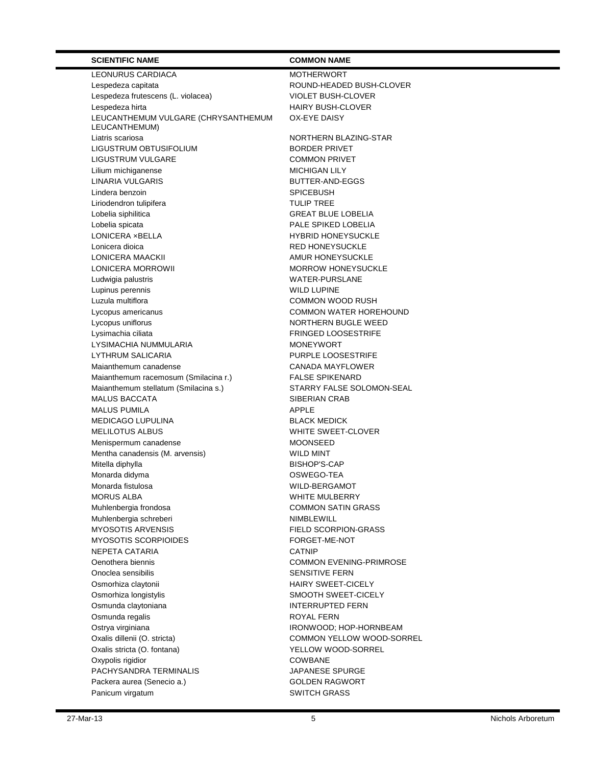LEONURUS CARDIACA MOTHERWORT Lespedeza capitata **ROUND-HEADED BUSH-CLOVER** Lespedeza frutescens (L. violacea) VIOLET BUSH-CLOVER Lespedeza hirta **HAIRY BUSH-CLOVER** LEUCANTHEMUM VULGARE (CHRYSANTHEMUM LEUCANTHEMUM) Liatris scariosa NORTHERN BLAZING-STAR LIGUSTRUM OBTUSIFOLIUM **BORDER PRIVET** LIGUSTRUM VULGARE COMMON PRIVET Lilium michiganense MICHIGAN LILY LINARIA VULGARIS BUTTER-AND-EGGS Lindera benzoin **SPICEBUSH** Liriodendron tulipifera TULIP TREE Lobelia siphilitica GREAT BLUE LOBELIA Lobelia spicata **PALE SPIKED LOBELIA** LONICERA ×BELLA HYBRID HONEYSUCKLE Lonicera dioica <br>
RED HONEYSUCKLE LONICERA MAACKII AMUR HONEYSUCKLE LONICERA MORROWII MORROW HONEYSUCKLE Ludwigia palustris **WATER-PURSLANE** Lupinus perennis WILD LUPINE Luzula multiflora COMMON WOOD RUSH Lycopus americanus COMMON WATER HOREHOUND Lycopus uniflorus NORTHERN BUGLE WEED Lysimachia ciliata FRINGED LOOSESTRIFE LYSIMACHIA NUMMULARIA **MONEYWORT** LYTHRUM SALICARIA **EXECUTE IN THE RUSS** PURPLE LOOSESTRIFE Maianthemum canadense CANADA MAYFLOWER Maianthemum racemosum (Smilacina r.) FALSE SPIKENARD Maianthemum stellatum (Smilacina s.) STARRY FALSE SOLOMON-SEAL MALUS BACCATA SIBERIAN CRAB MALUS PUMILA APPLE MEDICAGO LUPULINA BLACK MEDICK MELILOTUS ALBUS WHITE SWEET-CLOVER Menispermum canadense MOONSEED Mentha canadensis (M. arvensis) WILD MINT Mitella diphylla **BISHOP'S-CAP** Monarda didyma **OSWEGO-TEA** Monarda fistulosa WILD-BERGAMOT MORUS ALBA WHITE MULBERRY Muhlenbergia frondosa COMMON SATIN GRASS Muhlenbergia schreberi **NIMBLEWILL** MYOSOTIS ARVENSIS FIELD SCORPION-GRASS MYOSOTIS SCORPIOIDES FORGET-ME-NOT NEPETA CATARIA CATNIP Oenothera biennis COMMON EVENING-PRIMROSE Onoclea sensibilis SENSITIVE FERN Osmorhiza claytonii https://www.bib.com/mail/community/community/community/community/community/community/community/ Osmorhiza longistylis SMOOTH SWEET-CICELY Osmunda claytoniana **INTERRUPTED FERN** Osmunda regalis **ROYAL FERN** Ostrya virginiana **IRONWOOD**; HOP-HORNBEAM Oxalis dillenii (O. stricta) and COMMON YELLOW WOOD-SORREL Oxalis stricta (O. fontana) YELLOW WOOD-SORREL Oxypolis rigidior and the COWBANE PACHYSANDRA TERMINALIS JAPANESE SPURGE Packera aurea (Senecio a.) GOLDEN RAGWORT Panicum virgatum SWITCH GRASS

OX-EYE DAISY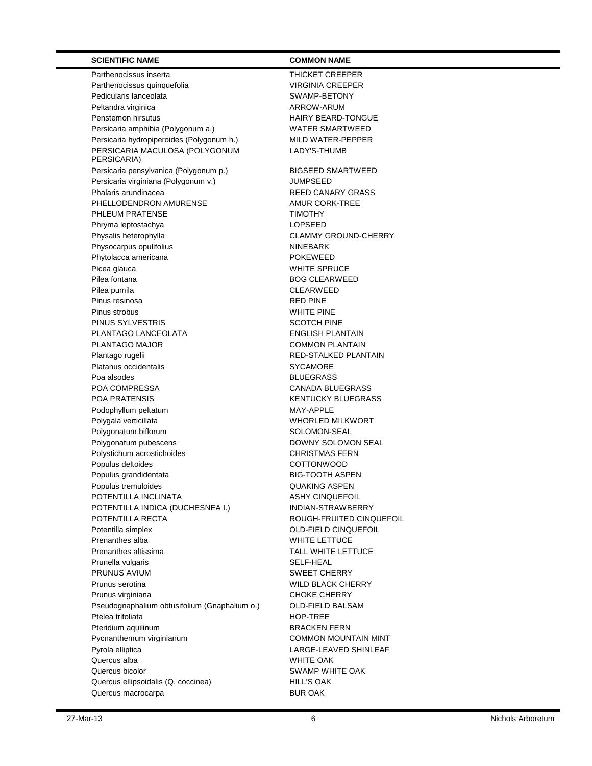Parthenocissus inserta THICKET CREEPER Parthenocissus quinquefolia VIRGINIA CREEPER Pedicularis lanceolata SWAMP-BETONY Peltandra virginica **ARROW-ARUM** Penstemon hirsutus **HAIRY BEARD-TONGUE** Persicaria amphibia (Polygonum a.) WATER SMARTWEED Persicaria hydropiperoides (Polygonum h.) MILD WATER-PEPPER PERSICARIA MACULOSA (POLYGONUM PERSICARIA) Persicaria pensylvanica (Polygonum p.) BIGSEED SMARTWEED Persicaria virginiana (Polygonum v.) JUMPSEED Phalaris arundinacea<br>
PHELLODENDRON AMURENSE<br>
AMUR CORK-TREE PHELLODENDRON AMURENSE PHLEUM PRATENSE TIMOTHY Phryma leptostachya 
and the contract of the LOPSEED 
and the LOPSEED Physalis heterophylla **CLAMMY GROUND-CHERRY** Physocarpus opulifolius NINEBARK Phytolacca americana entry and a powerful powerful powerful powerful powerful powerful powerful powerful power Picea glauca **WHITE SPRUCE** Pilea fontana and a state of the state of the BOG CLEARWEED Pilea pumila **CLEARWEED** Pinus resinosa **RED** PINE Pinus strobus **WHITE PINE** PINUS SYLVESTRIS SCOTCH PINE PLANTAGO LANCEOLATA ENGLISH PLANTAIN PLANTAGO MAJOR COMMON PLANTAIN Plantago rugelii aastas asus asus asus and a RED-STALKED PLANTAIN Platanus occidentalis and a system of the SYCAMORE Poa alsodes BLUEGRASS POA COMPRESSA CANADA BLUEGRASS POA PRATENSIS KENTUCKY BLUEGRASS Podophyllum peltatum MAY-APPLE Polygala verticillata WHORLED MILKWORT Polygonatum biflorum and the solution of SOLOMON-SEAL Polygonatum pubescens **DOWNY SOLOMON SEAL** Polystichum acrostichoides CHRISTMAS FERN Populus deltoides and a control of the COTTONWOOD Populus grandidentata BIG-TOOTH ASPEN Populus tremuloides and a control of the QUAKING ASPEN POTENTILLA INCLINATA ASHY CINQUEFOIL POTENTILLA INDICA (DUCHESNEA I.) INDIAN-STRAWBERRY POTENTILLA RECTA **ROUGH-FRUITED CINQUEFOIL** Potentilla simplex <br>
OLD-FIELD CINQUEFOIL Prenanthes alba WHITE LETTUCE Prenanthes altissima TALL WHITE LETTUCE Prunella vulgaris **SELF-HEAL** PRUNUS AVIUM SWEET CHERRY Prunus serotina WILD BLACK CHERRY Prunus virginiana **CHOKE CHERRY** Pseudognaphalium obtusifolium (Gnaphalium o.) OLD-FIELD BALSAM Ptelea trifoliata entre a control de la proportación de la estadunidad entre el estadunidad en el estadunidad<br>A el estadunidad en el estadunidad en el estadunidad en el estadunidad en el estadunidad en el estadunidad en Pteridium aquilinum **BRACKEN FERN** Pycnanthemum virginianum common COMMON MOUNTAIN MINT Pyrola elliptica LARGE-LEAVED SHINLEAF Quercus alba WHITE OAK Quercus bicolor SWAMP WHITE OAK Quercus ellipsoidalis (Q. coccinea) HILL'S OAK Quercus macrocarpa **BUR OAK** 

LADY'S-THUMB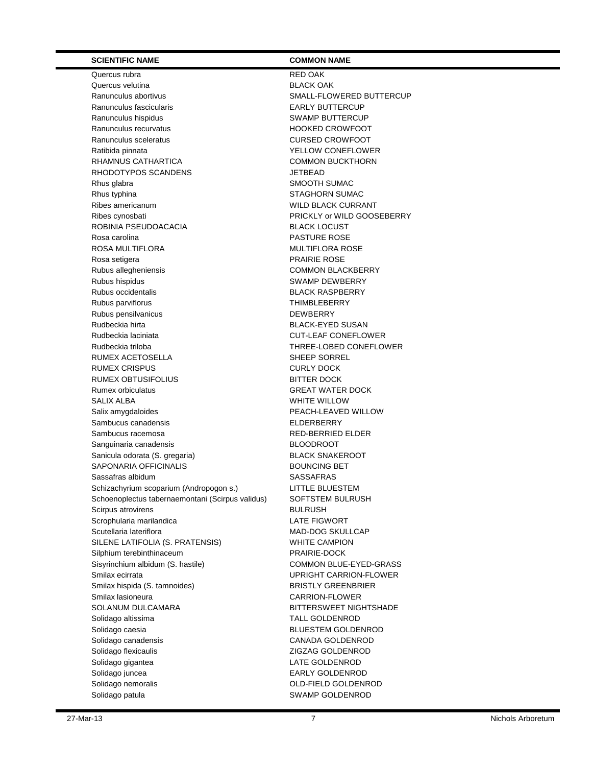Quercus rubra **RED** OAK Quercus velutina **BLACK OAK** Ranunculus abortivus **SMALL-FLOWERED BUTTERCUP** Ranunculus fascicularis **EARLY BUTTERCUP** Ranunculus hispidus **SWAMP BUTTERCUP** Ranunculus recurvatus **Example 20 Times 100 HOOKED CROWFOOT** Ranunculus sceleratus **CURSED CROWFOOT** Ratibida pinnata **YELLOW CONEFLOWER** RHAMNUS CATHARTICA COMMON BUCKTHORN RHODOTYPOS SCANDENS JETBEAD Rhus glabra SMOOTH SUMAC Rhus typhina STAGHORN SUMAC Ribes americanum WILD BLACK CURRANT Ribes cynosbati **PRICKLY or WILD GOOSEBERRY** ROBINIA PSEUDOACACIA BLACK LOCUST Rosa carolina **PASTURE ROSE** ROSA MULTIFLORA **MULTIFLORA ROSE** Rosa setigera **PRAIRIE ROSE** Rubus allegheniensis COMMON BLACKBERRY Rubus hispidus **SWAMP DEWBERRY** Rubus occidentalis **BLACK RASPBERRY** Rubus parviflorus **THIMBLEBERRY** Rubus pensilvanicus **DEWBERRY** Rudbeckia hirta **BLACK-EYED SUSAN** Rudbeckia laciniata CUT-LEAF CONEFLOWER Rudbeckia triloba THREE-LOBED CONEFLOWER RUMEX ACETOSELLA SHEEP SORREL RUMEX CRISPUS CURLY DOCK RUMEX OBTUSIFOLIUS BITTER DOCK Rumex orbiculatus GREAT WATER DOCK SALIX ALBA **WHITE WILLOW** Salix amygdaloides extending the peace of PEACH-LEAVED WILLOW Sambucus canadensis **ELDERBERRY** Sambucus racemosa RED-BERRIED ELDER Sanguinaria canadensis BLOODROOT Sanicula odorata (S. gregaria) BLACK SNAKEROOT SAPONARIA OFFICINALIS BOUNCING BET Sassafras albidum SASSAFRAS Schizachyrium scoparium (Andropogon s.) LITTLE BLUESTEM Schoenoplectus tabernaemontani (Scirpus validus) SOFTSTEM BULRUSH Scirpus atrovirens **BULRUSH** Scrophularia marilandica LATE FIGWORT Scutellaria lateriflora MAD-DOG SKULLCAP SILENE LATIFOLIA (S. PRATENSIS) WHITE CAMPION Silphium terebinthinaceum **PRAIRIE-DOCK** Sisyrinchium albidum (S. hastile) COMMON BLUE-EYED-GRASS Smilax ecirrata Carrollars and Carrollars and Carrollars UPRIGHT CARRION-FLOWER Smilax hispida (S. tamnoides) BRISTLY GREENBRIER Smilax lasioneura CARRION-FLOWER SOLANUM DULCAMARA BITTERSWEET NIGHTSHADE Solidago altissima TALL GOLDENROD Solidago caesia and a strategic strategies of the BLUESTEM GOLDENROD Solidago canadensis CANADA GOLDENROD Solidago flexicaulis ZIGZAG GOLDENROD Solidago gigantea **LATE GOLDENROD** Solidago juncea **EARLY GOLDENROD** Solidago nemoralis COLD-FIELD GOLDENROD Solidago patula and state of the SWAMP GOLDENROD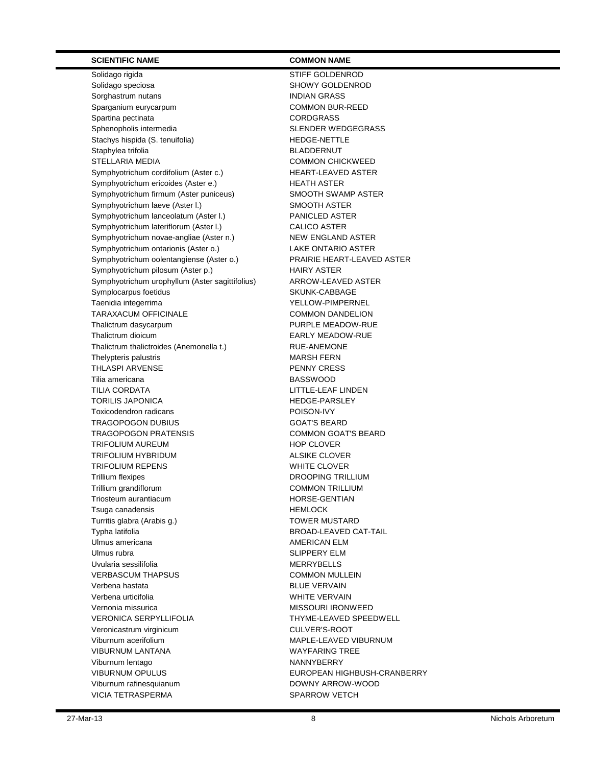Solidago rigida STIFF GOLDENROD Solidago speciosa **SHOWY GOLDENROD** Sorghastrum nutans **INDIAN GRASS** Sparganium eurycarpum common COMMON BUR-REED Spartina pectinata and the corresponding corresponding to the corresponding corresponding to  $CORDGRASS$ Sphenopholis intermedia SLENDER WEDGEGRASS Stachys hispida (S. tenuifolia) HEDGE-NETTLE Staphylea trifolia and a state of the BLADDERNUT STELLARIA MEDIA **COMMON CHICKWEED** Symphyotrichum cordifolium (Aster c.) HEART-LEAVED ASTER Symphyotrichum ericoides (Aster e.) HEATH ASTER Symphyotrichum firmum (Aster puniceus) SMOOTH SWAMP ASTER Symphyotrichum laeve (Aster l.) SMOOTH ASTER Symphyotrichum lanceolatum (Aster I.) PANICLED ASTER Symphyotrichum lateriflorum (Aster I.) CALICO ASTER Symphyotrichum novae-angliae (Aster n.) NEW ENGLAND ASTER Symphyotrichum ontarionis (Aster o.) LAKE ONTARIO ASTER Symphyotrichum oolentangiense (Aster o.) PRAIRIE HEART-LEAVED ASTER Symphyotrichum pilosum (Aster p.) HAIRY ASTER Symphyotrichum urophyllum (Aster sagittifolius) ARROW-LEAVED ASTER Symplocarpus foetidus SKUNK-CABBAGE Taenidia integerrima **YELLOW-PIMPERNEL** TARAXACUM OFFICINALE COMMON DANDELION Thalictrum dasycarpum PURPLE MEADOW-RUE Thalictrum dioicum **EARLY MEADOW-RUE** Thalictrum thalictroides (Anemonella t.) RUE-ANEMONE Thelypteris palustris MARSH FERN THLASPI ARVENSE **PENNY CRESS** Tilia americana and a structure of the BASSWOOD TILIA CORDATA LITTLE-LEAF LINDEN TORILIS JAPONICA **HEDGE-PARSLEY** Toxicodendron radicans POISON-IVY TRAGOPOGON DUBIUS GOAT'S BEARD TRAGOPOGON PRATENSIS COMMON GOAT'S BEARD TRIFOLIUM AUREUM **HOP CLOVER** TRIFOLIUM HYBRIDUM **ALSIKE CLOVER** TRIFOLIUM REPENS WHITE CLOVER Trillium flexipes Trillium flexipes Trillium grandiflorum COMMON TRILLIUM Triosteum aurantiacum aux aux components de la component de la component de la component de la component de la Tsuga canadensis extending the HEMLOCK Turritis glabra (Arabis g.) TOWER MUSTARD Typha latifolia BROAD-LEAVED CAT-TAIL Ulmus americana and a state of the AMERICAN ELM Ulmus rubra and the state of the SLIPPERY ELM Uvularia sessilifolia and a material mercury of MERRYBELLS VERBASCUM THAPSUS COMMON MULLEIN Verbena hastata and a basic control of the BLUE VERVAIN Verbena urticifolia WHITE VERVAIN Vernonia missurica MISSOURI IRONWEED VERONICA SERPYLLIFOLIA THYME-LEAVED SPEEDWELL Veronicastrum virginicum virginicum cULVER'S-ROOT Viburnum acerifolium MAPLE-LEAVED VIBURNUM VIBURNUM LANTANA WAYFARING TREE Viburnum lentago NANNYBERRY VIBURNUM OPULUS EUROPEAN HIGHBUSH-CRANBERRY Viburnum rafinesquianum **DOWNY ARROW-WOOD** VICIA TETRASPERMA SPARROW VETCH